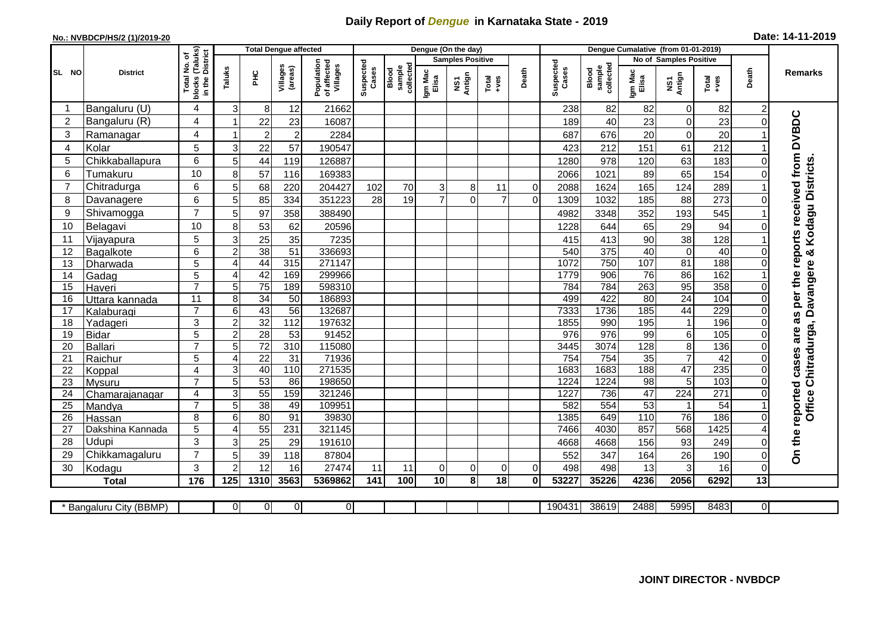## **Daily Report of** *Dengue* **in Karnataka State - 2019**

## **No.: NVBDCP/HS/2 (1)/2019-20**

| Date: 14-11-2019 |  |  |  |
|------------------|--|--|--|
|------------------|--|--|--|

|                 |                         |                                     |                  |                  | <b>Total Dengue affected</b> |                                       |                    |                              | Dengue (On the day) |                         |               |          |                    |                              |                  | Dengue Cumalative (from 01-01-2019) |                 |                |                                                                  |
|-----------------|-------------------------|-------------------------------------|------------------|------------------|------------------------------|---------------------------------------|--------------------|------------------------------|---------------------|-------------------------|---------------|----------|--------------------|------------------------------|------------------|-------------------------------------|-----------------|----------------|------------------------------------------------------------------|
|                 |                         | (Taluks)<br>District<br>৳           |                  |                  |                              |                                       |                    |                              |                     | <b>Samples Positive</b> |               |          |                    |                              |                  | No of Samples Positive              |                 |                |                                                                  |
| SL NO           | <b>District</b>         | Total No.<br>blocks (Talu<br>in the | Taluks           | 옾                | Villages<br>(areas)          | Population<br>of affected<br>Villages | Suspected<br>Cases | collected<br>sample<br>Blood | Igm Mac<br>Elisa    | Antign<br>ŠΣ            | Total<br>+ves | Death    | Suspected<br>Cases | Blood<br>sample<br>collected | Igm Mac<br>Elisa | NS1<br>Antign                       | Total<br>+ves   | Death          | Remarks                                                          |
|                 | Bangaluru (U)           | 4                                   | 3                | 8                | 12                           | 21662                                 |                    |                              |                     |                         |               |          | 238                | 82                           | 82               | 0                                   | 82              | 2              |                                                                  |
| $\overline{2}$  | Bangaluru (R)           | 4                                   | 1                | 22               | 23                           | 16087                                 |                    |                              |                     |                         |               |          | 189                | 40                           | 23               | $\mathbf 0$                         | 23              |                |                                                                  |
| 3               | Ramanagar               | 4                                   | 1                | $\boldsymbol{2}$ | $\overline{2}$               | 2284                                  |                    |                              |                     |                         |               |          | 687                | 676                          | 20               | $\mathbf 0$                         | 20              |                | On the reported cases are as per the reports received from DVBDC |
| $\overline{4}$  | Kolar                   | 5                                   | 3                | 22               | 57                           | 190547                                |                    |                              |                     |                         |               |          | 423                | 212                          | 151              | 61                                  | 212             |                |                                                                  |
| 5               | Chikkaballapura         | 6                                   | 5                | 44               | 119                          | 126887                                |                    |                              |                     |                         |               |          | 1280               | 978                          | 120              | 63                                  | 183             |                |                                                                  |
| 6               | Tumakuru                | 10                                  | 8                | 57               | 116                          | 169383                                |                    |                              |                     |                         |               |          | 2066               | 1021                         | 89               | 65                                  | 154             |                |                                                                  |
| $\overline{7}$  | Chitradurga             | 6                                   | 5                | 68               | 220                          | 204427                                | 102                | 70                           | 3                   | 8                       | 11            | $\Omega$ | 2088               | 1624                         | 165              | 124                                 | 289             |                |                                                                  |
| 8               | Davanagere              | 6                                   | 5                | 85               | 334                          | 351223                                | 28                 | 19                           | $\overline{7}$      | 0                       | 7             | $\Omega$ | 1309               | 1032                         | 185              | 88                                  | 273             | 0              |                                                                  |
| 9               | Shivamogga              | $\overline{7}$                      | 5                | 97               | 358                          | 388490                                |                    |                              |                     |                         |               |          | 4982               | 3348                         | 352              | 193                                 | 545             |                | & Kodagu Districts                                               |
| 10              | Belagavi                | 10                                  | 8                | 53               | 62                           | 20596                                 |                    |                              |                     |                         |               |          | 1228               | 644                          | 65               | 29                                  | 94              |                |                                                                  |
| 11              | Vijayapura              | 5                                   | 3                | 25               | 35                           | 7235                                  |                    |                              |                     |                         |               |          | 415                | 413                          | 90               | 38                                  | 128             |                |                                                                  |
| $\overline{12}$ | Bagalkote               | 6                                   | $\overline{2}$   | 38               | 51                           | 336693                                |                    |                              |                     |                         |               |          | 540                | 375                          | 40               | $\overline{0}$                      | 40              |                |                                                                  |
| 13              | Dharwada                | 5                                   | $\overline{4}$   | 44               | 315                          | 271147                                |                    |                              |                     |                         |               |          | 1072               | 750                          | 107              | 81                                  | 188             |                |                                                                  |
| 14              | Gadag                   | 5                                   | $\overline{4}$   | 42               | 169                          | 299966                                |                    |                              |                     |                         |               |          | 1779               | $\overline{906}$             | 76               | 86                                  | 162             |                |                                                                  |
| 15              | Haveri                  | $\overline{7}$                      | 5                | 75               | 189                          | 598310                                |                    |                              |                     |                         |               |          | 784                | 784                          | 263              | 95                                  | 358             | $\Omega$       |                                                                  |
| 16              | Uttara kannada          | 11                                  | 8                | 34               | 50                           | 186893                                |                    |                              |                     |                         |               |          | 499                | 422                          | 80               | 24                                  | 104             | 0              |                                                                  |
| 17              | Kalaburagi              | $\overline{7}$                      | 6                | 43               | 56                           | 132687                                |                    |                              |                     |                         |               |          | 7333               | 1736                         | 185              | 44                                  | 229             |                |                                                                  |
| 18              | Yadageri                | 3                                   | $\overline{c}$   | $\overline{32}$  | $\frac{1}{112}$              | 197632                                |                    |                              |                     |                         |               |          | 1855               | 990                          | 195              | $\overline{1}$                      | 196             |                |                                                                  |
| 19              | <b>Bidar</b>            | 5                                   | $\overline{2}$   | 28               | $\overline{53}$              | 91452                                 |                    |                              |                     |                         |               |          | 976                | 976                          | 99               | $\overline{6}$                      | 105             |                |                                                                  |
| 20              | <b>Ballari</b>          | $\overline{ }$                      | 5                | $\overline{72}$  | $\overline{310}$             | 115080                                |                    |                              |                     |                         |               |          | 3445               | 3074                         | 128              | $\overline{8}$                      | 136             |                |                                                                  |
| 21              | Raichur                 | 5                                   | 4                | $\overline{22}$  | $\overline{31}$              | 71936                                 |                    |                              |                     |                         |               |          | 754                | 754                          | 35               | $\overline{7}$                      | 42              | $\Omega$       |                                                                  |
| 22              | Koppal                  | $\overline{4}$                      | 3                | 40               | 110                          | 271535                                |                    |                              |                     |                         |               |          | 1683               | 1683                         | 188              | 47                                  | 235             | 0              |                                                                  |
| 23              | Mysuru                  | $\overline{7}$                      | 5                | 53               | 86                           | 198650                                |                    |                              |                     |                         |               |          | 1224               | 1224                         | $\overline{98}$  | $\overline{5}$                      | 103             | 0              | Office Chitradurga, Davangere                                    |
| 24              | Chamarajanagar          | $\overline{4}$<br>$\overline{7}$    | 3                | 55               | 159                          | 321246                                |                    |                              |                     |                         |               |          | 1227               | 736                          | 47               | 224                                 | 271             |                |                                                                  |
| $\overline{25}$ | Mandya                  |                                     | $\overline{5}$   | $\overline{38}$  | 49                           | 109951                                |                    |                              |                     |                         |               |          | 582                | 554                          | 53               | 1<br>76                             | $\overline{54}$ |                |                                                                  |
| 26              | Hassan                  | 8                                   | 6                | 80               | 91                           | 39830                                 |                    |                              |                     |                         |               |          | 1385               | 649                          | 110              |                                     | 186             |                |                                                                  |
| 27              | Dakshina Kannada        | 5                                   | 4                | 55               | 231                          | 321145                                |                    |                              |                     |                         |               |          | 7466               | 4030                         | 857              | 568                                 | 1425            |                |                                                                  |
| 28              | Udupi                   | 3<br>$\overline{7}$                 | 3                | 25               | 29                           | 191610                                |                    |                              |                     |                         |               |          | 4668               | 4668                         | 156              | 93                                  | 249             |                |                                                                  |
| 29              | Chikkamagaluru          |                                     | 5                | 39               | 118                          | 87804                                 |                    |                              |                     |                         |               |          | 552                | 347                          | 164              | 26                                  | 190             |                |                                                                  |
| 30              | Kodagu                  | 3                                   | $\overline{2}$   | 12               | 16                           | 27474                                 | 11                 | 11                           | 0                   | 0                       | $\Omega$      | $\Omega$ | 498                | 498                          | 13               | 3                                   | 16              | 0              |                                                                  |
|                 | <b>Total</b>            | 176                                 | $\overline{125}$ | 1310             | 3563                         | 5369862                               | 141                | 100                          | $\overline{10}$     | 8                       | 18            | $\bf{0}$ | 53227              | 35226                        | 4236             | 2056                                | 6292            | 13             |                                                                  |
|                 | * Bangaluru City (BBMP) |                                     | 0                | 0                | $\overline{0}$               | $\overline{0}$                        |                    |                              |                     |                         |               |          | 190431             | 38619                        | 2488             | 5995                                | 8483            | $\overline{0}$ |                                                                  |